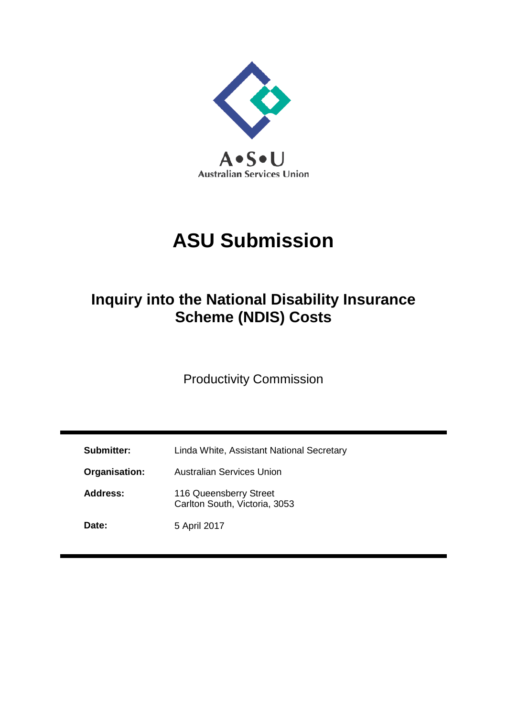

# **ASU Submission**

## **Inquiry into the National Disability Insurance Scheme (NDIS) Costs**

Productivity Commission

| Submitter:    | Linda White, Assistant National Secretary               |  |  |
|---------------|---------------------------------------------------------|--|--|
| Organisation: | <b>Australian Services Union</b>                        |  |  |
| Address:      | 116 Queensberry Street<br>Carlton South, Victoria, 3053 |  |  |
| Date:         | 5 April 2017                                            |  |  |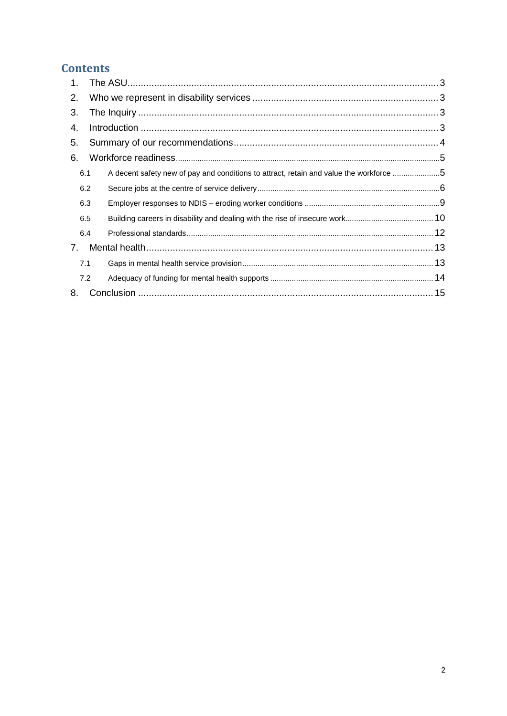## **Contents**

| 2.                             |                                                                                        |  |  |  |  |
|--------------------------------|----------------------------------------------------------------------------------------|--|--|--|--|
| 3.                             |                                                                                        |  |  |  |  |
| 4.                             |                                                                                        |  |  |  |  |
| 5.                             |                                                                                        |  |  |  |  |
| 6.                             |                                                                                        |  |  |  |  |
| 6.1                            | A decent safety new of pay and conditions to attract, retain and value the workforce 5 |  |  |  |  |
| 6.2                            |                                                                                        |  |  |  |  |
| 6.3                            |                                                                                        |  |  |  |  |
| 6.5                            |                                                                                        |  |  |  |  |
| 6.4                            |                                                                                        |  |  |  |  |
| $7_{\scriptscriptstyle{\sim}}$ |                                                                                        |  |  |  |  |
| 7.1                            |                                                                                        |  |  |  |  |
| 7.2                            |                                                                                        |  |  |  |  |
| 8.                             |                                                                                        |  |  |  |  |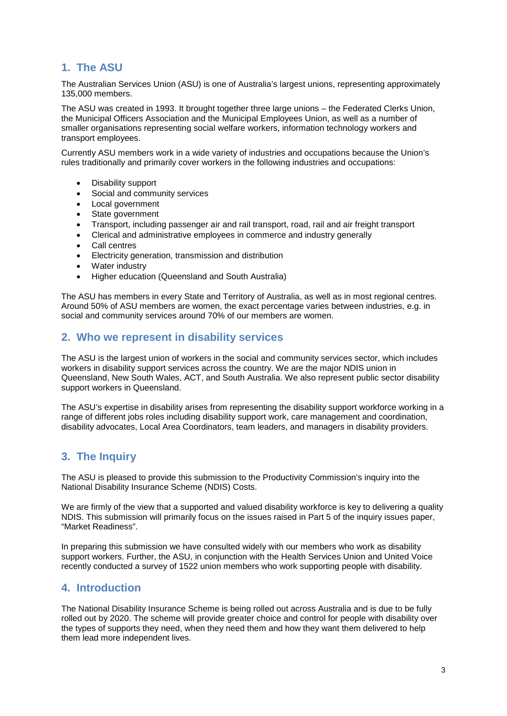## <span id="page-2-0"></span>**1. The ASU**

The Australian Services Union (ASU) is one of Australia's largest unions, representing approximately 135,000 members.

The ASU was created in 1993. It brought together three large unions – the Federated Clerks Union, the Municipal Officers Association and the Municipal Employees Union, as well as a number of smaller organisations representing social welfare workers, information technology workers and transport employees.

Currently ASU members work in a wide variety of industries and occupations because the Union's rules traditionally and primarily cover workers in the following industries and occupations:

- Disability support
- Social and community services
- Local government
- State government
- Transport, including passenger air and rail transport, road, rail and air freight transport
- Clerical and administrative employees in commerce and industry generally
- Call centres
- Electricity generation, transmission and distribution
- Water industry
- Higher education (Queensland and South Australia)

The ASU has members in every State and Territory of Australia, as well as in most regional centres. Around 50% of ASU members are women, the exact percentage varies between industries, e.g. in social and community services around 70% of our members are women.

#### <span id="page-2-1"></span>**2. Who we represent in disability services**

The ASU is the largest union of workers in the social and community services sector, which includes workers in disability support services across the country. We are the major NDIS union in Queensland, New South Wales, ACT, and South Australia. We also represent public sector disability support workers in Queensland.

The ASU's expertise in disability arises from representing the disability support workforce working in a range of different jobs roles including disability support work, care management and coordination, disability advocates, Local Area Coordinators, team leaders, and managers in disability providers.

### <span id="page-2-2"></span>**3. The Inquiry**

The ASU is pleased to provide this submission to the Productivity Commission's inquiry into the National Disability Insurance Scheme (NDIS) Costs.

We are firmly of the view that a supported and valued disability workforce is key to delivering a quality NDIS. This submission will primarily focus on the issues raised in Part 5 of the inquiry issues paper, "Market Readiness".

In preparing this submission we have consulted widely with our members who work as disability support workers. Further, the ASU, in conjunction with the Health Services Union and United Voice recently conducted a survey of 1522 union members who work supporting people with disability.

#### <span id="page-2-3"></span>**4. Introduction**

The National Disability Insurance Scheme is being rolled out across Australia and is due to be fully rolled out by 2020. The scheme will provide greater choice and control for people with disability over the types of supports they need, when they need them and how they want them delivered to help them lead more independent lives.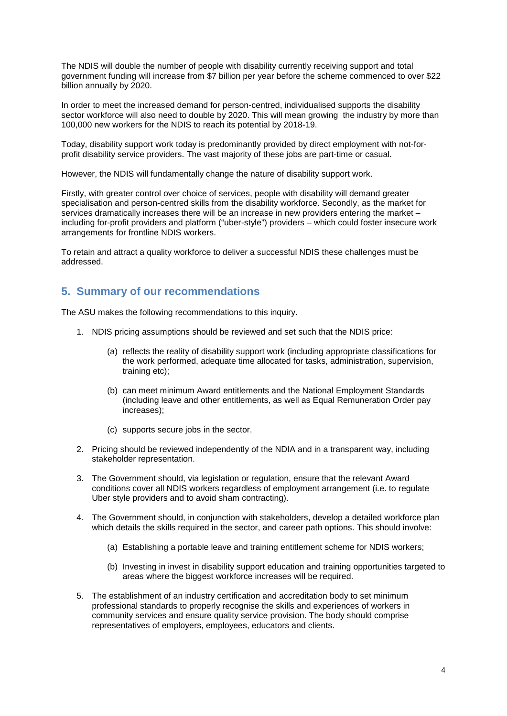The NDIS will double the number of people with disability currently receiving support and total government funding will increase from \$7 billion per year before the scheme commenced to over \$22 billion annually by 2020.

In order to meet the increased demand for person-centred, individualised supports the disability sector workforce will also need to double by 2020. This will mean growing the industry by more than 100,000 new workers for the NDIS to reach its potential by 2018-19.

Today, disability support work today is predominantly provided by direct employment with not-forprofit disability service providers. The vast majority of these jobs are part-time or casual.

However, the NDIS will fundamentally change the nature of disability support work.

Firstly, with greater control over choice of services, people with disability will demand greater specialisation and person-centred skills from the disability workforce. Secondly, as the market for services dramatically increases there will be an increase in new providers entering the market – including for-profit providers and platform ("uber-style") providers – which could foster insecure work arrangements for frontline NDIS workers.

To retain and attract a quality workforce to deliver a successful NDIS these challenges must be addressed.

#### <span id="page-3-0"></span>**5. Summary of our recommendations**

The ASU makes the following recommendations to this inquiry.

- 1. NDIS pricing assumptions should be reviewed and set such that the NDIS price:
	- (a) reflects the reality of disability support work (including appropriate classifications for the work performed, adequate time allocated for tasks, administration, supervision, training etc);
	- (b) can meet minimum Award entitlements and the National Employment Standards (including leave and other entitlements, as well as Equal Remuneration Order pay increases);
	- (c) supports secure jobs in the sector.
- 2. Pricing should be reviewed independently of the NDIA and in a transparent way, including stakeholder representation.
- 3. The Government should, via legislation or regulation, ensure that the relevant Award conditions cover all NDIS workers regardless of employment arrangement (i.e. to regulate Uber style providers and to avoid sham contracting).
- 4. The Government should, in conjunction with stakeholders, develop a detailed workforce plan which details the skills required in the sector, and career path options. This should involve:
	- (a) Establishing a portable leave and training entitlement scheme for NDIS workers;
	- (b) Investing in invest in disability support education and training opportunities targeted to areas where the biggest workforce increases will be required.
- 5. The establishment of an industry certification and accreditation body to set minimum professional standards to properly recognise the skills and experiences of workers in community services and ensure quality service provision. The body should comprise representatives of employers, employees, educators and clients.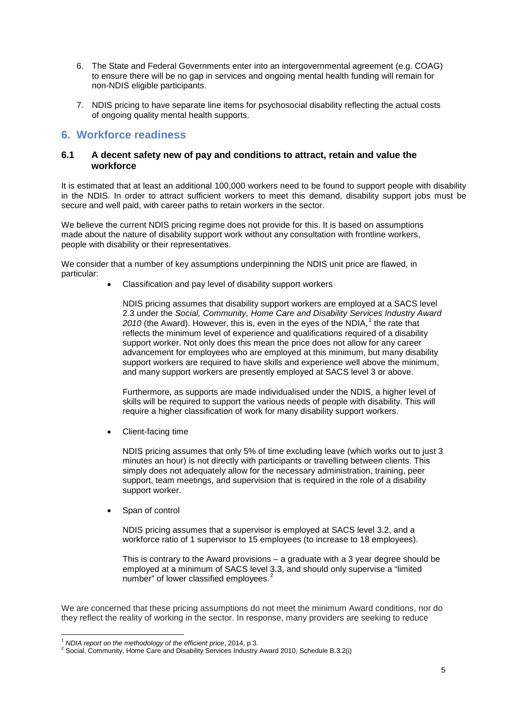- 6. The State and Federal Governments enter into an intergovernmental agreement (e.g. COAG) to ensure there will be no gap in services and ongoing mental health funding will remain for non-NDIS eligible participants.
- 7. NDIS pricing to have separate line items for psychosocial disability reflecting the actual costs of ongoing quality mental health supports.

#### <span id="page-4-0"></span>**6. Workforce readiness**

#### <span id="page-4-1"></span>**6.1 A decent safety new of pay and conditions to attract, retain and value the workforce**

It is estimated that at least an additional 100,000 workers need to be found to support people with disability in the NDIS. In order to attract sufficient workers to meet this demand, disability support jobs must be secure and well paid, with career paths to retain workers in the sector.

We believe the current NDIS pricing regime does not provide for this. It is based on assumptions made about the nature of disability support work without any consultation with frontline workers, people with disability or their representatives.

We consider that a number of key assumptions underpinning the NDIS unit price are flawed, in particular:

• Classification and pay level of disability support workers

NDIS pricing assumes that disability support workers are employed at a SACS level 2.3 under the *Social, Community, Home Care and Disability Services Industry Award*  20[1](#page-4-2)0 (the Award). However, this is, even in the eyes of the NDIA,<sup>1</sup> the rate that reflects the minimum level of experience and qualifications required of a disability support worker. Not only does this mean the price does not allow for any career advancement for employees who are employed at this minimum, but many disability support workers are required to have skills and experience well above the minimum, and many support workers are presently employed at SACS level 3 or above.

Furthermore, as supports are made individualised under the NDIS, a higher level of skills will be required to support the various needs of people with disability. This will require a higher classification of work for many disability support workers.

• Client-facing time

NDIS pricing assumes that only 5% of time excluding leave (which works out to just 3 minutes an hour) is not directly with participants or travelling between clients. This simply does not adequately allow for the necessary administration, training, peer support, team meetings, and supervision that is required in the role of a disability support worker.

Span of control

NDIS pricing assumes that a supervisor is employed at SACS level 3.2, and a workforce ratio of 1 supervisor to 15 employees (to increase to 18 employees).

This is contrary to the Award provisions – a graduate with a 3 year degree should be employed at a minimum of SACS level 3.3, and should only supervise a "limited number" of lower classified employees.<sup>[2](#page-4-3)</sup>

We are concerned that these pricing assumptions do not meet the minimum Award conditions, nor do they reflect the reality of working in the sector. In response, many providers are seeking to reduce

**<sup>.</sup>** 

<span id="page-4-3"></span><span id="page-4-2"></span><sup>&</sup>lt;sup>1</sup> *NDIA report on the methodology of the efficient price*, 2014, p 3.<br><sup>2</sup> Social, Community, Home Care and Disability Services Industry Award 2010, Schedule B.3.2(i)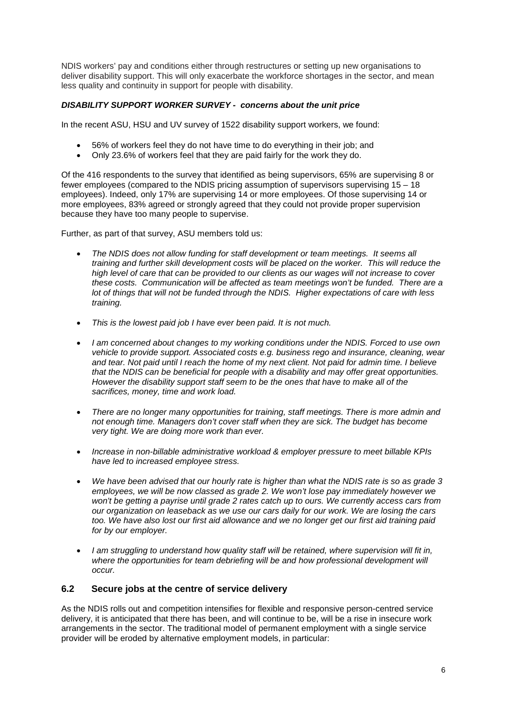NDIS workers' pay and conditions either through restructures or setting up new organisations to deliver disability support. This will only exacerbate the workforce shortages in the sector, and mean less quality and continuity in support for people with disability.

#### *DISABILITY SUPPORT WORKER SURVEY - concerns about the unit price*

In the recent ASU, HSU and UV survey of 1522 disability support workers, we found:

- 56% of workers feel they do not have time to do everything in their job; and
- Only 23.6% of workers feel that they are paid fairly for the work they do.

Of the 416 respondents to the survey that identified as being supervisors, 65% are supervising 8 or fewer employees (compared to the NDIS pricing assumption of supervisors supervising 15 – 18 employees). Indeed, only 17% are supervising 14 or more employees. Of those supervising 14 or more employees, 83% agreed or strongly agreed that they could not provide proper supervision because they have too many people to supervise.

Further, as part of that survey, ASU members told us:

- *The NDIS does not allow funding for staff development or team meetings. It seems all training and further skill development costs will be placed on the worker. This will reduce the high level of care that can be provided to our clients as our wages will not increase to cover these costs. Communication will be affected as team meetings won't be funded. There are a lot of things that will not be funded through the NDIS. Higher expectations of care with less training.*
- *This is the lowest paid job I have ever been paid. It is not much.*
- *I am concerned about changes to my working conditions under the NDIS. Forced to use own vehicle to provide support. Associated costs e.g. business rego and insurance, cleaning, wear and tear. Not paid until I reach the home of my next client. Not paid for admin time. I believe that the NDIS can be beneficial for people with a disability and may offer great opportunities. However the disability support staff seem to be the ones that have to make all of the sacrifices, money, time and work load.*
- *There are no longer many opportunities for training, staff meetings. There is more admin and not enough time. Managers don't cover staff when they are sick. The budget has become very tight. We are doing more work than ever.*
- *Increase in non-billable administrative workload & employer pressure to meet billable KPIs have led to increased employee stress.*
- *We have been advised that our hourly rate is higher than what the NDIS rate is so as grade 3 employees, we will be now classed as grade 2. We won't lose pay immediately however we won't be getting a payrise until grade 2 rates catch up to ours. We currently access cars from our organization on leaseback as we use our cars daily for our work. We are losing the cars too. We have also lost our first aid allowance and we no longer get our first aid training paid for by our employer.*
- *I am struggling to understand how quality staff will be retained, where supervision will fit in, where the opportunities for team debriefing will be and how professional development will occur.*

#### <span id="page-5-0"></span>**6.2 Secure jobs at the centre of service delivery**

As the NDIS rolls out and competition intensifies for flexible and responsive person-centred service delivery, it is anticipated that there has been, and will continue to be, will be a rise in insecure work arrangements in the sector. The traditional model of permanent employment with a single service provider will be eroded by alternative employment models, in particular: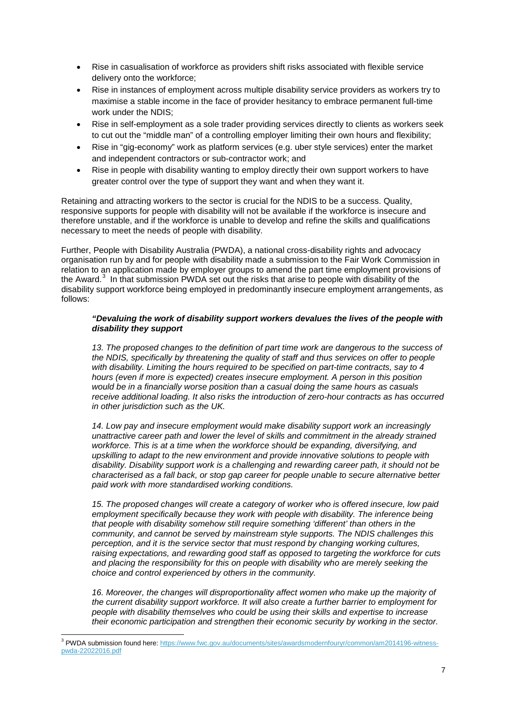- Rise in casualisation of workforce as providers shift risks associated with flexible service delivery onto the workforce;
- Rise in instances of employment across multiple disability service providers as workers try to maximise a stable income in the face of provider hesitancy to embrace permanent full-time work under the NDIS;
- Rise in self-employment as a sole trader providing services directly to clients as workers seek to cut out the "middle man" of a controlling employer limiting their own hours and flexibility;
- Rise in "gig-economy" work as platform services (e.g. uber style services) enter the market and independent contractors or sub-contractor work; and
- Rise in people with disability wanting to employ directly their own support workers to have greater control over the type of support they want and when they want it.

Retaining and attracting workers to the sector is crucial for the NDIS to be a success. Quality, responsive supports for people with disability will not be available if the workforce is insecure and therefore unstable, and if the workforce is unable to develop and refine the skills and qualifications necessary to meet the needs of people with disability.

Further, People with Disability Australia (PWDA), a national cross-disability rights and advocacy organisation run by and for people with disability made a submission to the Fair Work Commission in relation to an application made by employer groups to amend the part time employment provisions of the Award.<sup>[3](#page-6-0)</sup> In that submission PWDA set out the risks that arise to people with disability of the disability support workforce being employed in predominantly insecure employment arrangements, as follows:

#### *"Devaluing the work of disability support workers devalues the lives of the people with disability they support*

*13. The proposed changes to the definition of part time work are dangerous to the success of the NDIS, specifically by threatening the quality of staff and thus services on offer to people with disability. Limiting the hours required to be specified on part-time contracts, say to 4 hours (even if more is expected) creates insecure employment. A person in this position would be in a financially worse position than a casual doing the same hours as casuals receive additional loading. It also risks the introduction of zero-hour contracts as has occurred in other jurisdiction such as the UK.* 

*14. Low pay and insecure employment would make disability support work an increasingly unattractive career path and lower the level of skills and commitment in the already strained workforce. This is at a time when the workforce should be expanding, diversifying, and upskilling to adapt to the new environment and provide innovative solutions to people with disability. Disability support work is a challenging and rewarding career path, it should not be characterised as a fall back, or stop gap career for people unable to secure alternative better paid work with more standardised working conditions.* 

*15. The proposed changes will create a category of worker who is offered insecure, low paid employment specifically because they work with people with disability. The inference being that people with disability somehow still require something 'different' than others in the community, and cannot be served by mainstream style supports. The NDIS challenges this perception, and it is the service sector that must respond by changing working cultures, raising expectations, and rewarding good staff as opposed to targeting the workforce for cuts and placing the responsibility for this on people with disability who are merely seeking the choice and control experienced by others in the community.* 

*16. Moreover, the changes will disproportionality affect women who make up the majority of the current disability support workforce. It will also create a further barrier to employment for people with disability themselves who could be using their skills and expertise to increase their economic participation and strengthen their economic security by working in the sector.* 

<span id="page-6-0"></span>**<sup>.</sup>** <sup>3</sup> PWDA submission found here: [https://www.fwc.gov.au/documents/sites/awardsmodernfouryr/common/am2014196-witness](https://www.fwc.gov.au/documents/sites/awardsmodernfouryr/common/am2014196-witness-pwda-22022016.pdf)[pwda-22022016.pdf](https://www.fwc.gov.au/documents/sites/awardsmodernfouryr/common/am2014196-witness-pwda-22022016.pdf)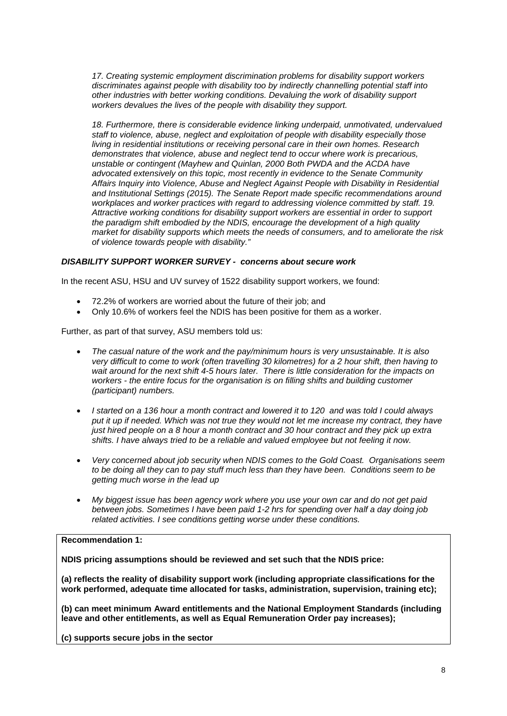*17. Creating systemic employment discrimination problems for disability support workers discriminates against people with disability too by indirectly channelling potential staff into other industries with better working conditions. Devaluing the work of disability support workers devalues the lives of the people with disability they support.* 

*18. Furthermore, there is considerable evidence linking underpaid, unmotivated, undervalued staff to violence, abuse, neglect and exploitation of people with disability especially those living in residential institutions or receiving personal care in their own homes. Research demonstrates that violence, abuse and neglect tend to occur where work is precarious, unstable or contingent (Mayhew and Quinlan, 2000 Both PWDA and the ACDA have advocated extensively on this topic, most recently in evidence to the Senate Community Affairs Inquiry into Violence, Abuse and Neglect Against People with Disability in Residential and Institutional Settings (2015). The Senate Report made specific recommendations around workplaces and worker practices with regard to addressing violence committed by staff. 19. Attractive working conditions for disability support workers are essential in order to support the paradigm shift embodied by the NDIS, encourage the development of a high quality market for disability supports which meets the needs of consumers, and to ameliorate the risk of violence towards people with disability."*

#### *DISABILITY SUPPORT WORKER SURVEY - concerns about secure work*

In the recent ASU, HSU and UV survey of 1522 disability support workers, we found:

- 72.2% of workers are worried about the future of their job; and
- Only 10.6% of workers feel the NDIS has been positive for them as a worker.

Further, as part of that survey, ASU members told us:

- *The casual nature of the work and the pay/minimum hours is very unsustainable. It is also very difficult to come to work (often travelling 30 kilometres) for a 2 hour shift, then having to wait around for the next shift 4-5 hours later. There is little consideration for the impacts on workers - the entire focus for the organisation is on filling shifts and building customer (participant) numbers.*
- *I started on a 136 hour a month contract and lowered it to 120 and was told I could always put it up if needed. Which was not true they would not let me increase my contract, they have just hired people on a 8 hour a month contract and 30 hour contract and they pick up extra shifts. I have always tried to be a reliable and valued employee but not feeling it now.*
- *Very concerned about job security when NDIS comes to the Gold Coast. Organisations seem to be doing all they can to pay stuff much less than they have been. Conditions seem to be getting much worse in the lead up*
- *My biggest issue has been agency work where you use your own car and do not get paid between jobs. Sometimes I have been paid 1-2 hrs for spending over half a day doing job related activities. I see conditions getting worse under these conditions.*

#### **Recommendation 1:**

**NDIS pricing assumptions should be reviewed and set such that the NDIS price:**

**(a) reflects the reality of disability support work (including appropriate classifications for the work performed, adequate time allocated for tasks, administration, supervision, training etc);**

**(b) can meet minimum Award entitlements and the National Employment Standards (including leave and other entitlements, as well as Equal Remuneration Order pay increases);**

**(c) supports secure jobs in the sector**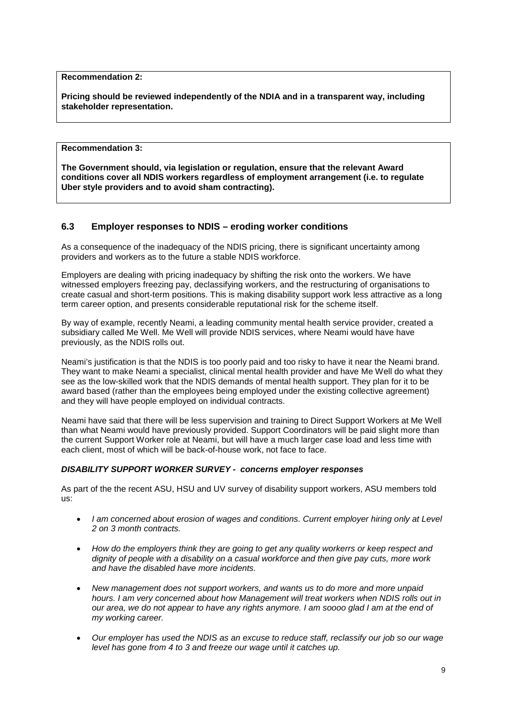**Recommendation 2:** 

**Pricing should be reviewed independently of the NDIA and in a transparent way, including stakeholder representation.**

**Recommendation 3:** 

**The Government should, via legislation or regulation, ensure that the relevant Award conditions cover all NDIS workers regardless of employment arrangement (i.e. to regulate Uber style providers and to avoid sham contracting).** 

#### <span id="page-8-0"></span>**6.3 Employer responses to NDIS – eroding worker conditions**

As a consequence of the inadequacy of the NDIS pricing, there is significant uncertainty among providers and workers as to the future a stable NDIS workforce.

Employers are dealing with pricing inadequacy by shifting the risk onto the workers. We have witnessed employers freezing pay, declassifying workers, and the restructuring of organisations to create casual and short-term positions. This is making disability support work less attractive as a long term career option, and presents considerable reputational risk for the scheme itself.

By way of example, recently Neami, a leading community mental health service provider, created a subsidiary called Me Well. Me Well will provide NDIS services, where Neami would have have previously, as the NDIS rolls out.

Neami's justification is that the NDIS is too poorly paid and too risky to have it near the Neami brand. They want to make Neami a specialist, clinical mental health provider and have Me Well do what they see as the low-skilled work that the NDIS demands of mental health support. They plan for it to be award based (rather than the employees being employed under the existing collective agreement) and they will have people employed on individual contracts.

Neami have said that there will be less supervision and training to Direct Support Workers at Me Well than what Neami would have previously provided. Support Coordinators will be paid slight more than the current Support Worker role at Neami, but will have a much larger case load and less time with each client, most of which will be back-of-house work, not face to face.

#### *DISABILITY SUPPORT WORKER SURVEY - concerns employer responses*

As part of the the recent ASU, HSU and UV survey of disability support workers, ASU members told us:

- *I am concerned about erosion of wages and conditions. Current employer hiring only at Level 2 on 3 month contracts.*
- *How do the employers think they are going to get any quality workerrs or keep respect and dignity of people with a disability on a casual workforce and then give pay cuts, more work and have the disabled have more incidents.*
- *New management does not support workers, and wants us to do more and more unpaid hours. I am very concerned about how Management will treat workers when NDIS rolls out in our area, we do not appear to have any rights anymore. I am soooo glad I am at the end of my working career.*
- *Our employer has used the NDIS as an excuse to reduce staff, reclassify our job so our wage level has gone from 4 to 3 and freeze our wage until it catches up.*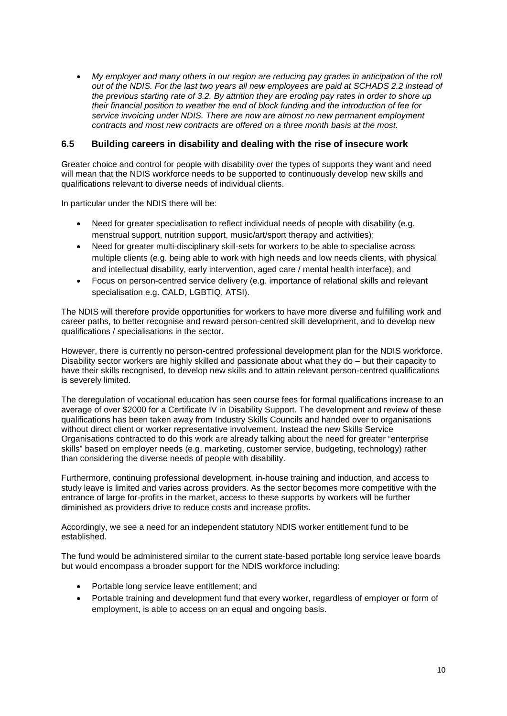• *My employer and many others in our region are reducing pay grades in anticipation of the roll out of the NDIS. For the last two years all new employees are paid at SCHADS 2.2 instead of the previous starting rate of 3.2. By attrition they are eroding pay rates in order to shore up their financial position to weather the end of block funding and the introduction of fee for service invoicing under NDIS. There are now are almost no new permanent employment contracts and most new contracts are offered on a three month basis at the most.*

#### <span id="page-9-0"></span>**6.5 Building careers in disability and dealing with the rise of insecure work**

Greater choice and control for people with disability over the types of supports they want and need will mean that the NDIS workforce needs to be supported to continuously develop new skills and qualifications relevant to diverse needs of individual clients.

In particular under the NDIS there will be:

- Need for greater specialisation to reflect individual needs of people with disability (e.g. menstrual support, nutrition support, music/art/sport therapy and activities);
- Need for greater multi-disciplinary skill-sets for workers to be able to specialise across multiple clients (e.g. being able to work with high needs and low needs clients, with physical and intellectual disability, early intervention, aged care / mental health interface); and
- Focus on person-centred service delivery (e.g. importance of relational skills and relevant specialisation e.g. CALD, LGBTIQ, ATSI).

The NDIS will therefore provide opportunities for workers to have more diverse and fulfilling work and career paths, to better recognise and reward person-centred skill development, and to develop new qualifications / specialisations in the sector.

However, there is currently no person-centred professional development plan for the NDIS workforce. Disability sector workers are highly skilled and passionate about what they do – but their capacity to have their skills recognised, to develop new skills and to attain relevant person-centred qualifications is severely limited.

The deregulation of vocational education has seen course fees for formal qualifications increase to an average of over \$2000 for a Certificate IV in Disability Support. The development and review of these qualifications has been taken away from Industry Skills Councils and handed over to organisations without direct client or worker representative involvement. Instead the new Skills Service Organisations contracted to do this work are already talking about the need for greater "enterprise skills" based on employer needs (e.g. marketing, customer service, budgeting, technology) rather than considering the diverse needs of people with disability.

Furthermore, continuing professional development, in-house training and induction, and access to study leave is limited and varies across providers. As the sector becomes more competitive with the entrance of large for-profits in the market, access to these supports by workers will be further diminished as providers drive to reduce costs and increase profits.

Accordingly, we see a need for an independent statutory NDIS worker entitlement fund to be established.

The fund would be administered similar to the current state-based portable long service leave boards but would encompass a broader support for the NDIS workforce including:

- Portable long service leave entitlement; and
- Portable training and development fund that every worker, regardless of employer or form of employment, is able to access on an equal and ongoing basis.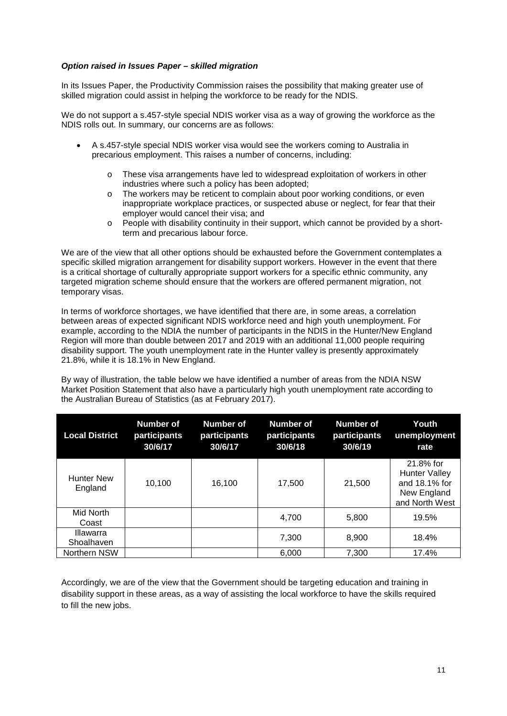#### *Option raised in Issues Paper – skilled migration*

In its Issues Paper, the Productivity Commission raises the possibility that making greater use of skilled migration could assist in helping the workforce to be ready for the NDIS.

We do not support a s.457-style special NDIS worker visa as a way of growing the workforce as the NDIS rolls out. In summary, our concerns are as follows:

- A s.457-style special NDIS worker visa would see the workers coming to Australia in precarious employment. This raises a number of concerns, including:
	- o These visa arrangements have led to widespread exploitation of workers in other industries where such a policy has been adopted;
	- o The workers may be reticent to complain about poor working conditions, or even inappropriate workplace practices, or suspected abuse or neglect, for fear that their employer would cancel their visa; and
	- o People with disability continuity in their support, which cannot be provided by a shortterm and precarious labour force.

We are of the view that all other options should be exhausted before the Government contemplates a specific skilled migration arrangement for disability support workers. However in the event that there is a critical shortage of culturally appropriate support workers for a specific ethnic community, any targeted migration scheme should ensure that the workers are offered permanent migration, not temporary visas.

In terms of workforce shortages, we have identified that there are, in some areas, a correlation between areas of expected significant NDIS workforce need and high youth unemployment. For example, according to the NDIA the number of participants in the NDIS in the Hunter/New England Region will more than double between 2017 and 2019 with an additional 11,000 people requiring disability support. The youth unemployment rate in the Hunter valley is presently approximately 21.8%, while it is 18.1% in New England.

By way of illustration, the table below we have identified a number of areas from the NDIA NSW Market Position Statement that also have a particularly high youth unemployment rate according to the Australian Bureau of Statistics (as at February 2017).

| <b>Local District</b>        | Number of<br>participants<br>30/6/17 | <b>Number of</b><br>participants<br>30/6/17 | <b>Number of</b><br>participants<br>30/6/18 | <b>Number of</b><br>participants<br>30/6/19 | Youth<br>unemployment<br>rate                                                       |
|------------------------------|--------------------------------------|---------------------------------------------|---------------------------------------------|---------------------------------------------|-------------------------------------------------------------------------------------|
| <b>Hunter New</b><br>England | 10.100                               | 16.100                                      | 17.500                                      | 21,500                                      | 21.8% for<br><b>Hunter Valley</b><br>and 18.1% for<br>New England<br>and North West |
| Mid North<br>Coast           |                                      |                                             | 4.700                                       | 5,800                                       | 19.5%                                                                               |
| Illawarra<br>Shoalhaven      |                                      |                                             | 7.300                                       | 8,900                                       | 18.4%                                                                               |
| Northern NSW                 |                                      |                                             | 6.000                                       | 7.300                                       | 17.4%                                                                               |

Accordingly, we are of the view that the Government should be targeting education and training in disability support in these areas, as a way of assisting the local workforce to have the skills required to fill the new jobs.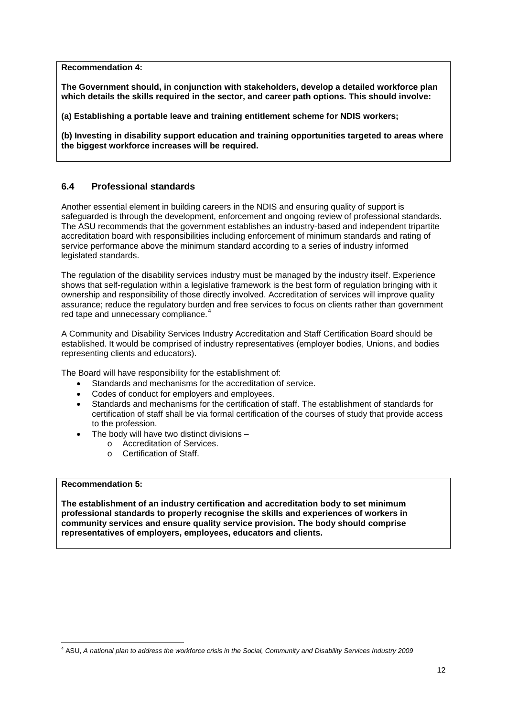**Recommendation 4:** 

**The Government should, in conjunction with stakeholders, develop a detailed workforce plan which details the skills required in the sector, and career path options. This should involve:** 

**(a) Establishing a portable leave and training entitlement scheme for NDIS workers;**

**(b) Investing in disability support education and training opportunities targeted to areas where the biggest workforce increases will be required.** 

#### <span id="page-11-0"></span>**6.4 Professional standards**

Another essential element in building careers in the NDIS and ensuring quality of support is safeguarded is through the development, enforcement and ongoing review of professional standards. The ASU recommends that the government establishes an industry-based and independent tripartite accreditation board with responsibilities including enforcement of minimum standards and rating of service performance above the minimum standard according to a series of industry informed legislated standards.

The regulation of the disability services industry must be managed by the industry itself. Experience shows that self-regulation within a legislative framework is the best form of regulation bringing with it ownership and responsibility of those directly involved. Accreditation of services will improve quality assurance; reduce the regulatory burden and free services to focus on clients rather than government red tape and unnecessary compliance.<sup>[4](#page-11-1)</sup>

A Community and Disability Services Industry Accreditation and Staff Certification Board should be established. It would be comprised of industry representatives (employer bodies, Unions, and bodies representing clients and educators).

The Board will have responsibility for the establishment of:

- Standards and mechanisms for the accreditation of service.
- Codes of conduct for employers and employees.
- Standards and mechanisms for the certification of staff. The establishment of standards for certification of staff shall be via formal certification of the courses of study that provide access to the profession.
- The body will have two distinct divisions  $$ 
	- o Accreditation of Services.<br> **Certification of Staff**
	- Certification of Staff.

#### **Recommendation 5:**

**The establishment of an industry certification and accreditation body to set minimum professional standards to properly recognise the skills and experiences of workers in community services and ensure quality service provision. The body should comprise representatives of employers, employees, educators and clients.**

<span id="page-11-1"></span> $\overline{a}$ <sup>4</sup> ASU, *A national plan to address the workforce crisis in the Social, Community and Disability Services Industry 2009*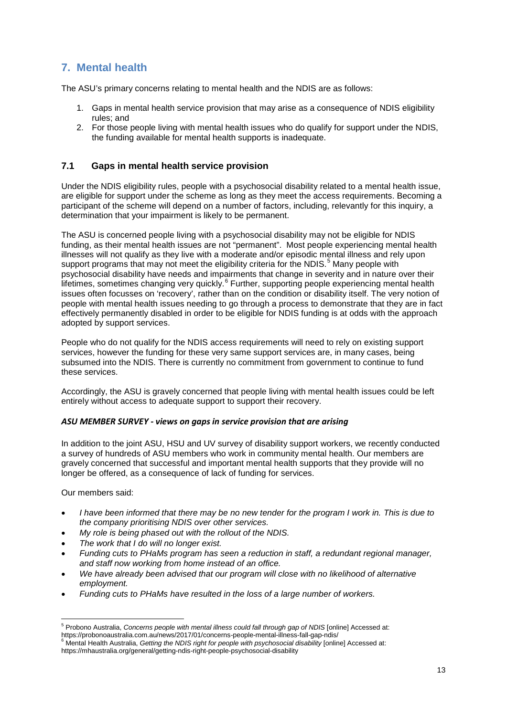## <span id="page-12-0"></span>**7. Mental health**

The ASU's primary concerns relating to mental health and the NDIS are as follows:

- 1. Gaps in mental health service provision that may arise as a consequence of NDIS eligibility rules; and
- 2. For those people living with mental health issues who do qualify for support under the NDIS, the funding available for mental health supports is inadequate.

#### <span id="page-12-1"></span>**7.1 Gaps in mental health service provision**

Under the NDIS eligibility rules, people with a psychosocial disability related to a mental health issue, are eligible for support under the scheme as long as they meet the access requirements. Becoming a participant of the scheme will depend on a number of factors, including, relevantly for this inquiry, a determination that your impairment is likely to be permanent.

The ASU is concerned people living with a psychosocial disability may not be eligible for NDIS funding, as their mental health issues are not "permanent". Most people experiencing mental health illnesses will not qualify as they live with a moderate and/or episodic mental illness and rely upon support programs that may not meet the eligibility criteria for the NDIS.<sup>[5](#page-12-2)</sup> Many people with psychosocial disability have needs and impairments that change in severity and in nature over their lifetimes, sometimes changing very quickly.<sup>[6](#page-12-3)</sup> Further, supporting people experiencing mental health issues often focusses on 'recovery', rather than on the condition or disability itself. The very notion of people with mental health issues needing to go through a process to demonstrate that they are in fact effectively permanently disabled in order to be eligible for NDIS funding is at odds with the approach adopted by support services.

People who do not qualify for the NDIS access requirements will need to rely on existing support services, however the funding for these very same support services are, in many cases, being subsumed into the NDIS. There is currently no commitment from government to continue to fund these services.

Accordingly, the ASU is gravely concerned that people living with mental health issues could be left entirely without access to adequate support to support their recovery.

#### *ASU MEMBER SURVEY - views on gaps in service provision that are arising*

In addition to the joint ASU, HSU and UV survey of disability support workers, we recently conducted a survey of hundreds of ASU members who work in community mental health. Our members are gravely concerned that successful and important mental health supports that they provide will no longer be offered, as a consequence of lack of funding for services.

Our members said:

**.** 

- *I have been informed that there may be no new tender for the program I work in. This is due to the company prioritising NDIS over other services.*
- *My role is being phased out with the rollout of the NDIS.*
- *The work that I do will no longer exist.*
- *Funding cuts to PHaMs program has seen a reduction in staff, a redundant regional manager, and staff now working from home instead of an office.*
- *We have already been advised that our program will close with no likelihood of alternative employment.*
- *Funding cuts to PHaMs have resulted in the loss of a large number of workers.*

<span id="page-12-2"></span><sup>5</sup> Probono Australia, *Concerns people with mental illness could fall through gap of NDIS* [online] Accessed at: https://probonoaustralia.com.au/news/2017/01/concerns-people-mental-illness-fall-gap-ndis/<br><sup>6</sup> Mental Health Australia, *Getting the NDIS right for people with psychosocial disability* [online] Accessed at:

<span id="page-12-3"></span>

https://mhaustralia.org/general/getting-ndis-right-people-psychosocial-disability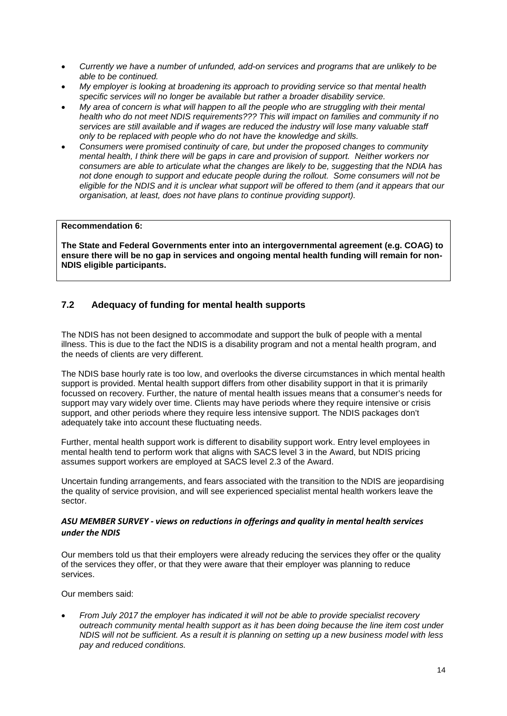- *Currently we have a number of unfunded, add-on services and programs that are unlikely to be able to be continued.*
- *My employer is looking at broadening its approach to providing service so that mental health specific services will no longer be available but rather a broader disability service.*
- *My area of concern is what will happen to all the people who are struggling with their mental health who do not meet NDIS requirements??? This will impact on families and community if no services are still available and if wages are reduced the industry will lose many valuable staff only to be replaced with people who do not have the knowledge and skills.*
- *Consumers were promised continuity of care, but under the proposed changes to community mental health, I think there will be gaps in care and provision of support. Neither workers nor consumers are able to articulate what the changes are likely to be, suggesting that the NDIA has not done enough to support and educate people during the rollout. Some consumers will not be eligible for the NDIS and it is unclear what support will be offered to them (and it appears that our organisation, at least, does not have plans to continue providing support).*

#### **Recommendation 6:**

**The State and Federal Governments enter into an intergovernmental agreement (e.g. COAG) to ensure there will be no gap in services and ongoing mental health funding will remain for non-NDIS eligible participants.**

#### <span id="page-13-0"></span>**7.2 Adequacy of funding for mental health supports**

The NDIS has not been designed to accommodate and support the bulk of people with a mental illness. This is due to the fact the NDIS is a disability program and not a mental health program, and the needs of clients are very different.

The NDIS base hourly rate is too low, and overlooks the diverse circumstances in which mental health support is provided. Mental health support differs from other disability support in that it is primarily focussed on recovery. Further, the nature of mental health issues means that a consumer's needs for support may vary widely over time. Clients may have periods where they require intensive or crisis support, and other periods where they require less intensive support. The NDIS packages don't adequately take into account these fluctuating needs.

Further, mental health support work is different to disability support work. Entry level employees in mental health tend to perform work that aligns with SACS level 3 in the Award, but NDIS pricing assumes support workers are employed at SACS level 2.3 of the Award.

Uncertain funding arrangements, and fears associated with the transition to the NDIS are jeopardising the quality of service provision, and will see experienced specialist mental health workers leave the sector.

#### *ASU MEMBER SURVEY - views on reductions in offerings and quality in mental health services under the NDIS*

Our members told us that their employers were already reducing the services they offer or the quality of the services they offer, or that they were aware that their employer was planning to reduce services.

Our members said:

• *From July 2017 the employer has indicated it will not be able to provide specialist recovery outreach community mental health support as it has been doing because the line item cost under NDIS will not be sufficient. As a result it is planning on setting up a new business model with less pay and reduced conditions.*